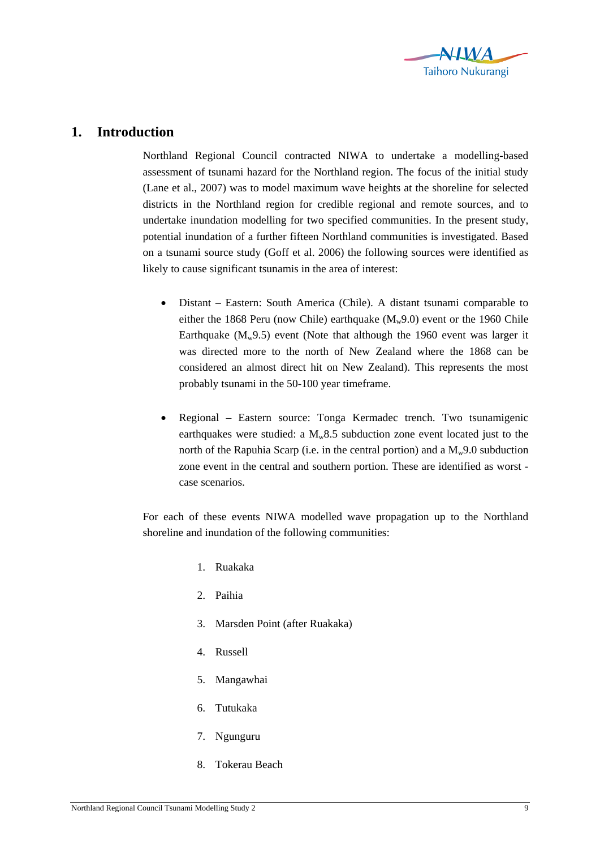

## **1. Introduction**

Northland Regional Council contracted NIWA to undertake a modelling-based assessment of tsunami hazard for the Northland region. The focus of the initial study (Lane et al., 2007) was to model maximum wave heights at the shoreline for selected districts in the Northland region for credible regional and remote sources, and to undertake inundation modelling for two specified communities. In the present study, potential inundation of a further fifteen Northland communities is investigated. Based on a tsunami source study (Goff et al. 2006) the following sources were identified as likely to cause significant tsunamis in the area of interest:

- Distant Eastern: South America (Chile). A distant tsunami comparable to either the 1868 Peru (now Chile) earthquake  $(M_w 9.0)$  event or the 1960 Chile Earthquake  $(M_w 9.5)$  event (Note that although the 1960 event was larger it was directed more to the north of New Zealand where the 1868 can be considered an almost direct hit on New Zealand). This represents the most probably tsunami in the 50-100 year timeframe.
- Regional Eastern source: Tonga Kermadec trench. Two tsunamigenic earthquakes were studied: a  $M_w8.5$  subduction zone event located just to the north of the Rapuhia Scarp (i.e. in the central portion) and a  $M_w$ 9.0 subduction zone event in the central and southern portion. These are identified as worst case scenarios.

For each of these events NIWA modelled wave propagation up to the Northland shoreline and inundation of the following communities:

- 1. Ruakaka
- 2. Paihia
- 3. Marsden Point (after Ruakaka)
- 4. Russell
- 5. Mangawhai
- 6. Tutukaka
- 7. Ngunguru
- 8. Tokerau Beach